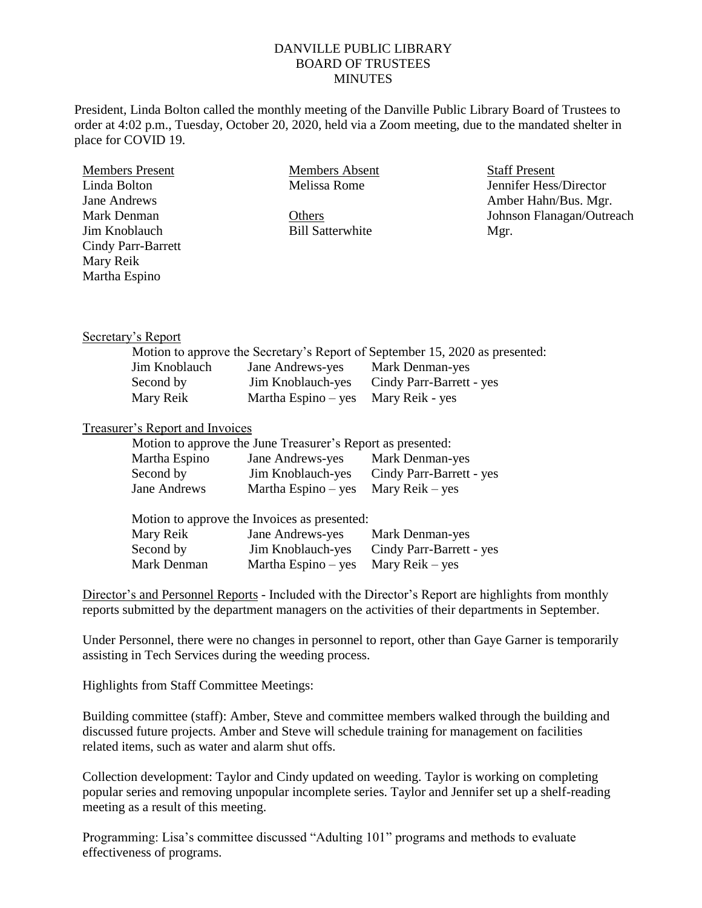## DANVILLE PUBLIC LIBRARY BOARD OF TRUSTEES **MINUTES**

President, Linda Bolton called the monthly meeting of the Danville Public Library Board of Trustees to order at 4:02 p.m., Tuesday, October 20, 2020, held via a Zoom meeting, due to the mandated shelter in place for COVID 19.

| <b>Members Present</b>    | Members Absent          | <b>Staff Present</b>      |
|---------------------------|-------------------------|---------------------------|
| Linda Bolton              | Melissa Rome            | Jennifer Hess/Director    |
| Jane Andrews              |                         | Amber Hahn/Bus. Mgr.      |
| Mark Denman               | Others                  | Johnson Flanagan/Outreach |
| Jim Knoblauch             | <b>Bill Satterwhite</b> | Mgr.                      |
| <b>Cindy Parr-Barrett</b> |                         |                           |
| Mary Reik                 |                         |                           |
| Martha Espino             |                         |                           |
|                           |                         |                           |
|                           |                         |                           |

## Secretary's Report

| Motion to approve the Secretary's Report of September 15, 2020 as presented: |                                     |                          |  |  |
|------------------------------------------------------------------------------|-------------------------------------|--------------------------|--|--|
| Jim Knoblauch                                                                | Jane Andrews-yes                    | Mark Denman-yes          |  |  |
| Second by                                                                    | Jim Knoblauch-yes                   | Cindy Parr-Barrett - yes |  |  |
| Mary Reik                                                                    | Martha Espino – yes Mary Reik - yes |                          |  |  |

## Treasurer's Report and Invoices

|               | Motion to approve the June Treasurer's Report as presented: |                          |
|---------------|-------------------------------------------------------------|--------------------------|
| Martha Espino | Jane Andrews-yes                                            | Mark Denman-yes          |
| Second by     | Jim Knoblauch-yes                                           | Cindy Parr-Barrett - yes |
| Jane Andrews  | Martha Espino – yes Mary Reik – yes                         |                          |

| Motion to approve the Invoices as presented: |                       |                          |  |  |
|----------------------------------------------|-----------------------|--------------------------|--|--|
| Mary Reik                                    | Jane Andrews-yes      | Mark Denman-yes          |  |  |
| Second by                                    | Jim Knoblauch-yes     | Cindy Parr-Barrett - yes |  |  |
| Mark Denman                                  | Martha Espino $-$ yes | Mary Reik – yes          |  |  |

Director's and Personnel Reports - Included with the Director's Report are highlights from monthly reports submitted by the department managers on the activities of their departments in September.

Under Personnel, there were no changes in personnel to report, other than Gaye Garner is temporarily assisting in Tech Services during the weeding process.

Highlights from Staff Committee Meetings:

Building committee (staff): Amber, Steve and committee members walked through the building and discussed future projects. Amber and Steve will schedule training for management on facilities related items, such as water and alarm shut offs.

Collection development: Taylor and Cindy updated on weeding. Taylor is working on completing popular series and removing unpopular incomplete series. Taylor and Jennifer set up a shelf-reading meeting as a result of this meeting.

Programming: Lisa's committee discussed "Adulting 101" programs and methods to evaluate effectiveness of programs.